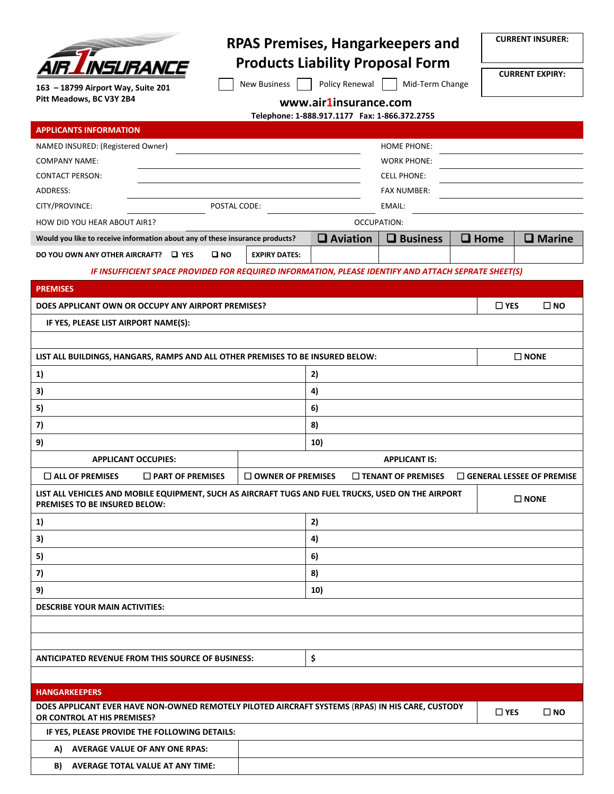

**163 – 18799 Airport Way, Suite 201 Pitt Meadows, BC V3Y 2B4**

## **RPAS Premises, Hangarkeepers and Products Liability Proposal Form**

**CURRENT INSURER:**

**CURRENT EXPIRY:**

| www.air1insurance.com |
|-----------------------|
|                       |

New Business **Policy Renewal Mid-Term Change** 

|                                                                                                                                     | Telephone: 1-888.917.1177    Fax: 1-866.372.2755 |                 |                    |                           |  |               |                |                                  |
|-------------------------------------------------------------------------------------------------------------------------------------|--------------------------------------------------|-----------------|--------------------|---------------------------|--|---------------|----------------|----------------------------------|
| <b>APPLICANTS INFORMATION</b>                                                                                                       |                                                  |                 |                    |                           |  |               |                |                                  |
| NAMED INSURED: (Registered Owner)                                                                                                   |                                                  |                 | <b>HOME PHONE:</b> |                           |  |               |                |                                  |
| <b>COMPANY NAME:</b>                                                                                                                |                                                  |                 | <b>WORK PHONE:</b> |                           |  |               |                |                                  |
| <b>CONTACT PERSON:</b>                                                                                                              |                                                  |                 |                    | <b>CELL PHONE:</b>        |  |               |                |                                  |
| ADDRESS:                                                                                                                            |                                                  |                 |                    | <b>FAX NUMBER:</b>        |  |               |                |                                  |
| CITY/PROVINCE:                                                                                                                      | POSTAL CODE:                                     |                 |                    | EMAIL:                    |  |               |                |                                  |
| HOW DID YOU HEAR ABOUT AIR1?                                                                                                        |                                                  |                 | OCCUPATION:        |                           |  |               |                |                                  |
| Would you like to receive information about any of these insurance products?                                                        |                                                  | $\Box$ Aviation |                    | $\Box$ Business           |  | $\Box$ Home   |                | $\Box$ Marine                    |
| $\square$ NO<br>DO YOU OWN ANY OTHER AIRCRAFT? Q YES                                                                                | <b>EXPIRY DATES:</b>                             |                 |                    |                           |  |               |                |                                  |
| IF INSUFFICIENT SPACE PROVIDED FOR REQUIRED INFORMATION, PLEASE IDENTIFY AND ATTACH SEPRATE SHEET(S)                                |                                                  |                 |                    |                           |  |               |                |                                  |
| <b>PREMISES</b>                                                                                                                     |                                                  |                 |                    |                           |  |               |                |                                  |
| DOES APPLICANT OWN OR OCCUPY ANY AIRPORT PREMISES?                                                                                  |                                                  |                 |                    |                           |  | $\Box$ YES    |                | $\square$ NO                     |
| IF YES, PLEASE LIST AIRPORT NAME(S):                                                                                                |                                                  |                 |                    |                           |  |               |                |                                  |
|                                                                                                                                     |                                                  |                 |                    |                           |  |               |                |                                  |
| LIST ALL BUILDINGS, HANGARS, RAMPS AND ALL OTHER PREMISES TO BE INSURED BELOW:                                                      |                                                  |                 |                    |                           |  |               | $\square$ NONE |                                  |
| 1)                                                                                                                                  |                                                  | 2)              |                    |                           |  |               |                |                                  |
| 3)                                                                                                                                  |                                                  | 4)              |                    |                           |  |               |                |                                  |
|                                                                                                                                     |                                                  |                 |                    |                           |  |               |                |                                  |
| 5)                                                                                                                                  |                                                  | 6)              |                    |                           |  |               |                |                                  |
| 7)                                                                                                                                  |                                                  | 8)              |                    |                           |  |               |                |                                  |
| 9)                                                                                                                                  |                                                  | 10)             |                    |                           |  |               |                |                                  |
| <b>APPLICANT OCCUPIES:</b>                                                                                                          |                                                  |                 |                    | <b>APPLICANT IS:</b>      |  |               |                |                                  |
| $\Box$ ALL OF PREMISES<br>$\Box$ PART OF PREMISES                                                                                   | $\square$ OWNER OF PREMISES                      |                 |                    | $\Box$ TENANT OF PREMISES |  |               |                | $\Box$ GENERAL LESSEE OF PREMISE |
| LIST ALL VEHICLES AND MOBILE EQUIPMENT, SUCH AS AIRCRAFT TUGS AND FUEL TRUCKS, USED ON THE AIRPORT<br>PREMISES TO BE INSURED BELOW: |                                                  |                 |                    |                           |  |               | $\square$ NONE |                                  |
| 1)                                                                                                                                  |                                                  | 2)              |                    |                           |  |               |                |                                  |
| 3)                                                                                                                                  |                                                  | 4)              |                    |                           |  |               |                |                                  |
| 5)                                                                                                                                  |                                                  | 6)              |                    |                           |  |               |                |                                  |
| 7)                                                                                                                                  |                                                  | 8)              |                    |                           |  |               |                |                                  |
| 9)                                                                                                                                  | 10)                                              |                 |                    |                           |  |               |                |                                  |
| <b>DESCRIBE YOUR MAIN ACTIVITIES:</b>                                                                                               |                                                  |                 |                    |                           |  |               |                |                                  |
|                                                                                                                                     |                                                  |                 |                    |                           |  |               |                |                                  |
|                                                                                                                                     |                                                  |                 |                    |                           |  |               |                |                                  |
|                                                                                                                                     |                                                  |                 |                    |                           |  |               |                |                                  |
| <b>ANTICIPATED REVENUE FROM THIS SOURCE OF BUSINESS:</b>                                                                            |                                                  | \$              |                    |                           |  |               |                |                                  |
|                                                                                                                                     |                                                  |                 |                    |                           |  |               |                |                                  |
| <b>HANGARKEEPERS</b>                                                                                                                |                                                  |                 |                    |                           |  |               |                |                                  |
| DOES APPLICANT EVER HAVE NON-OWNED REMOTELY PILOTED AIRCRAFT SYSTEMS (RPAS) IN HIS CARE, CUSTODY<br>OR CONTROL AT HIS PREMISES?     |                                                  |                 |                    |                           |  | $\square$ YES |                | $\square$ NO                     |
| IF YES, PLEASE PROVIDE THE FOLLOWING DETAILS:                                                                                       |                                                  |                 |                    |                           |  |               |                |                                  |
| A) AVERAGE VALUE OF ANY ONE RPAS:                                                                                                   |                                                  |                 |                    |                           |  |               |                |                                  |
| B)<br><b>AVERAGE TOTAL VALUE AT ANY TIME:</b>                                                                                       |                                                  |                 |                    |                           |  |               |                |                                  |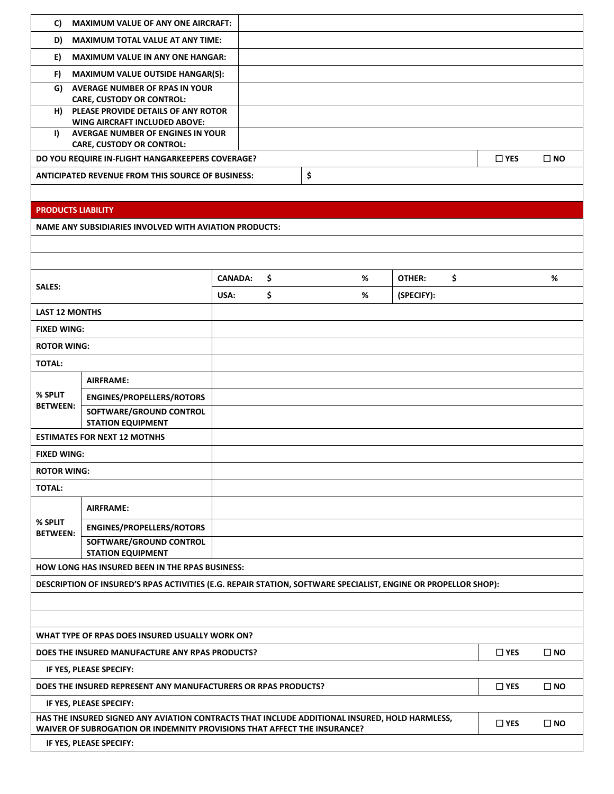|                                                  | <b>ANTICIPATED REVENUE FROM THIS SOURCE OF BUSINESS:</b> |  | \$ |            |              |  |  |
|--------------------------------------------------|----------------------------------------------------------|--|----|------------|--------------|--|--|
| DO YOU REQUIRE IN-FLIGHT HANGARKEEPERS COVERAGE? |                                                          |  |    | $\Box$ YES | $\square$ NO |  |  |
|                                                  | <b>CARE, CUSTODY OR CONTROL:</b>                         |  |    |            |              |  |  |
| I)                                               | AVERGAE NUMBER OF ENGINES IN YOUR                        |  |    |            |              |  |  |
|                                                  | WING AIRCRAFT INCLUDED ABOVE:                            |  |    |            |              |  |  |
| H)                                               | PLEASE PROVIDE DETAILS OF ANY ROTOR                      |  |    |            |              |  |  |
|                                                  | <b>CARE, CUSTODY OR CONTROL:</b>                         |  |    |            |              |  |  |
| G)                                               | AVERAGE NUMBER OF RPAS IN YOUR                           |  |    |            |              |  |  |
| F)                                               | <b>MAXIMUM VALUE OUTSIDE HANGAR(S):</b>                  |  |    |            |              |  |  |
| E)                                               | <b>MAXIMUM VALUE IN ANY ONE HANGAR:</b>                  |  |    |            |              |  |  |
| D)                                               | <b>MAXIMUM TOTAL VALUE AT ANY TIME:</b>                  |  |    |            |              |  |  |
| C)                                               | <b>MAXIMUM VALUE OF ANY ONE AIRCRAFT:</b>                |  |    |            |              |  |  |

## **PRODUCTS LIABILITY**

**NAME ANY SUBSIDIARIES INVOLVED WITH AVIATION PRODUCTS:**

| <b>SALES:</b>                                                                                                                                                                              |                                                                                                                | <b>CANADA:</b> | \$ | ℅          | OTHER:       | \$           |            | %            |
|--------------------------------------------------------------------------------------------------------------------------------------------------------------------------------------------|----------------------------------------------------------------------------------------------------------------|----------------|----|------------|--------------|--------------|------------|--------------|
|                                                                                                                                                                                            |                                                                                                                | USA:           | \$ | %          | (SPECIFY):   |              |            |              |
| <b>LAST 12 MONTHS</b>                                                                                                                                                                      |                                                                                                                |                |    |            |              |              |            |              |
| <b>FIXED WING:</b>                                                                                                                                                                         |                                                                                                                |                |    |            |              |              |            |              |
| <b>ROTOR WING:</b>                                                                                                                                                                         |                                                                                                                |                |    |            |              |              |            |              |
| <b>TOTAL:</b>                                                                                                                                                                              |                                                                                                                |                |    |            |              |              |            |              |
|                                                                                                                                                                                            | AIRFRAME:                                                                                                      |                |    |            |              |              |            |              |
| % SPLIT                                                                                                                                                                                    | <b>ENGINES/PROPELLERS/ROTORS</b>                                                                               |                |    |            |              |              |            |              |
| <b>BETWEEN:</b>                                                                                                                                                                            | SOFTWARE/GROUND CONTROL                                                                                        |                |    |            |              |              |            |              |
|                                                                                                                                                                                            | <b>STATION EQUIPMENT</b><br><b>ESTIMATES FOR NEXT 12 MOTNHS</b>                                                |                |    |            |              |              |            |              |
| <b>FIXED WING:</b>                                                                                                                                                                         |                                                                                                                |                |    |            |              |              |            |              |
| <b>ROTOR WING:</b>                                                                                                                                                                         |                                                                                                                |                |    |            |              |              |            |              |
|                                                                                                                                                                                            |                                                                                                                |                |    |            |              |              |            |              |
| <b>TOTAL:</b>                                                                                                                                                                              |                                                                                                                |                |    |            |              |              |            |              |
|                                                                                                                                                                                            | AIRFRAME:                                                                                                      |                |    |            |              |              |            |              |
| % SPLIT<br><b>BETWEEN:</b>                                                                                                                                                                 | ENGINES/PROPELLERS/ROTORS                                                                                      |                |    |            |              |              |            |              |
|                                                                                                                                                                                            | SOFTWARE/GROUND CONTROL<br><b>STATION EQUIPMENT</b>                                                            |                |    |            |              |              |            |              |
| <b>HOW LONG HAS INSURED BEEN IN THE RPAS BUSINESS:</b>                                                                                                                                     |                                                                                                                |                |    |            |              |              |            |              |
|                                                                                                                                                                                            | DESCRIPTION OF INSURED'S RPAS ACTIVITIES (E.G. REPAIR STATION, SOFTWARE SPECIALIST, ENGINE OR PROPELLOR SHOP): |                |    |            |              |              |            |              |
|                                                                                                                                                                                            |                                                                                                                |                |    |            |              |              |            |              |
|                                                                                                                                                                                            |                                                                                                                |                |    |            |              |              |            |              |
| WHAT TYPE OF RPAS DOES INSURED USUALLY WORK ON?                                                                                                                                            |                                                                                                                |                |    |            |              |              |            |              |
|                                                                                                                                                                                            | DOES THE INSURED MANUFACTURE ANY RPAS PRODUCTS?                                                                |                |    |            |              |              | $\Box$ YES | $\square$ NO |
| IF YES, PLEASE SPECIFY:                                                                                                                                                                    |                                                                                                                |                |    |            |              |              |            |              |
| DOES THE INSURED REPRESENT ANY MANUFACTURERS OR RPAS PRODUCTS?                                                                                                                             |                                                                                                                |                |    | $\Box$ YES | $\square$ NO |              |            |              |
|                                                                                                                                                                                            | IF YES, PLEASE SPECIFY:                                                                                        |                |    |            |              |              |            |              |
| HAS THE INSURED SIGNED ANY AVIATION CONTRACTS THAT INCLUDE ADDITIONAL INSURED, HOLD HARMLESS,<br>$\square$ YES<br>WAIVER OF SUBROGATION OR INDEMNITY PROVISIONS THAT AFFECT THE INSURANCE? |                                                                                                                |                |    |            |              | $\square$ NO |            |              |
|                                                                                                                                                                                            | IF YES, PLEASE SPECIFY:                                                                                        |                |    |            |              |              |            |              |